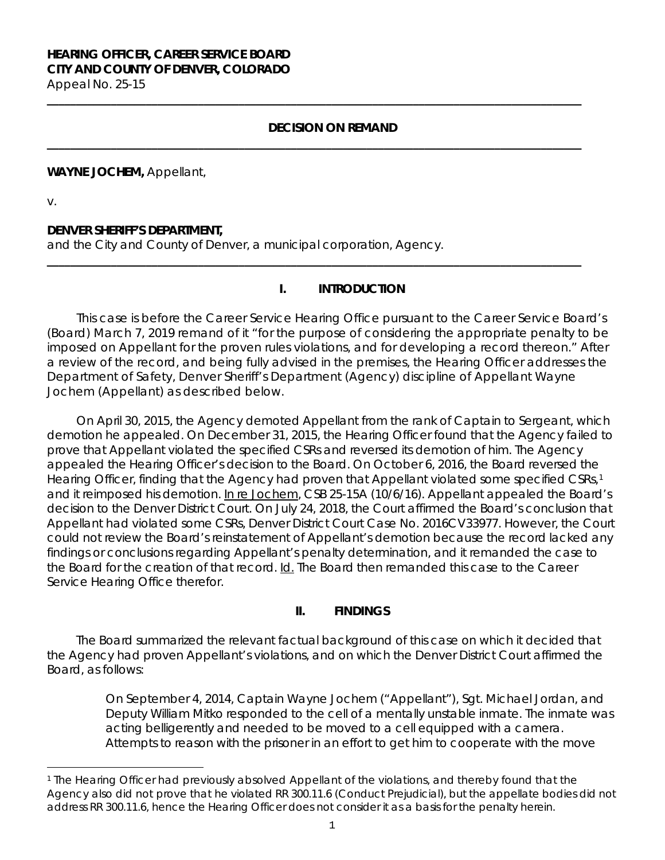# **HEARING OFFICER, CAREER SERVICE BOARD CITY AND COUNTY OF DENVER, COLORADO**

Appeal No. 25-15 **\_\_\_\_\_\_\_\_\_\_\_\_\_\_\_\_\_\_\_\_\_\_\_\_\_\_\_\_\_\_\_\_\_\_\_\_\_\_\_\_\_\_\_\_\_\_\_\_\_\_\_\_\_\_\_\_\_\_\_\_\_\_\_\_\_\_\_\_\_\_\_\_\_\_\_\_\_\_\_\_\_\_\_\_\_\_\_\_\_\_\_\_**

### **DECISION ON REMAND**

**\_\_\_\_\_\_\_\_\_\_\_\_\_\_\_\_\_\_\_\_\_\_\_\_\_\_\_\_\_\_\_\_\_\_\_\_\_\_\_\_\_\_\_\_\_\_\_\_\_\_\_\_\_\_\_\_\_\_\_\_\_\_\_\_\_\_\_\_\_\_\_\_\_\_\_\_\_\_\_\_\_\_\_\_\_\_\_\_\_\_\_\_**

**\_\_\_\_\_\_\_\_\_\_\_\_\_\_\_\_\_\_\_\_\_\_\_\_\_\_\_\_\_\_\_\_\_\_\_\_\_\_\_\_\_\_\_\_\_\_\_\_\_\_\_\_\_\_\_\_\_\_\_\_\_\_\_\_\_\_\_\_\_\_\_\_\_\_\_\_\_\_\_\_\_\_\_\_\_\_\_\_\_\_\_\_**

#### **WAYNE JOCHEM,** Appellant,

v.

### **DENVER SHERIFF'S DEPARTMENT,**

and the City and County of Denver, a municipal corporation, Agency.

### **I. INTRODUCTION**

This case is before the Career Service Hearing Office pursuant to the Career Service Board's (Board) March 7, 2019 remand of it "for the purpose of considering the appropriate penalty to be imposed on Appellant for the proven rules violations, and for developing a record thereon." After a review of the record, and being fully advised in the premises, the Hearing Officer addresses the Department of Safety, Denver Sheriff's Department (Agency) discipline of Appellant Wayne Jochem (Appellant) as described below.

On April 30, 2015, the Agency demoted Appellant from the rank of Captain to Sergeant, which demotion he appealed. On December 31, 2015, the Hearing Officer found that the Agency failed to prove that Appellant violated the specified CSRs and reversed its demotion of him. The Agency appealed the Hearing Officer's decision to the Board. On October 6, 2016, the Board reversed the Hearing Officer, finding that the Agency had proven that Appellant violated some specified CSRs,<sup>[1](#page-0-0)</sup> and it reimposed his demotion. In re Jochem, CSB 25-15A (10/6/16). Appellant appealed the Board's decision to the Denver District Court. On July 24, 2018, the Court affirmed the Board's conclusion that Appellant had violated some CSRs, Denver District Court Case No. 2016CV33977. However, the Court could not review the Board's reinstatement of Appellant's demotion because the record lacked any findings or conclusions regarding Appellant's penalty determination, and it remanded the case to the Board for the creation of that record. Id. The Board then remanded this case to the Career Service Hearing Office therefor.

### **II. FINDINGS**

The Board summarized the relevant factual background of this case on which it decided that the Agency had proven Appellant's violations, and on which the Denver District Court affirmed the Board, as follows:

> On September 4, 2014, Captain Wayne Jochem ("Appellant"), Sgt. Michael Jordan, and Deputy William Mitko responded to the cell of a mentally unstable inmate. The inmate was acting belligerently and needed to be moved to a cell equipped with a camera. Attempts to reason with the prisoner in an effort to get him to cooperate with the move

<span id="page-0-0"></span><sup>÷,</sup> <sup>1</sup> The Hearing Officer had previously absolved Appellant of the violations, and thereby found that the Agency also did not prove that he violated RR 300.11.6 (Conduct Prejudicial), but the appellate bodies did not address RR 300.11.6, hence the Hearing Officer does not consider it as a basis for the penalty herein.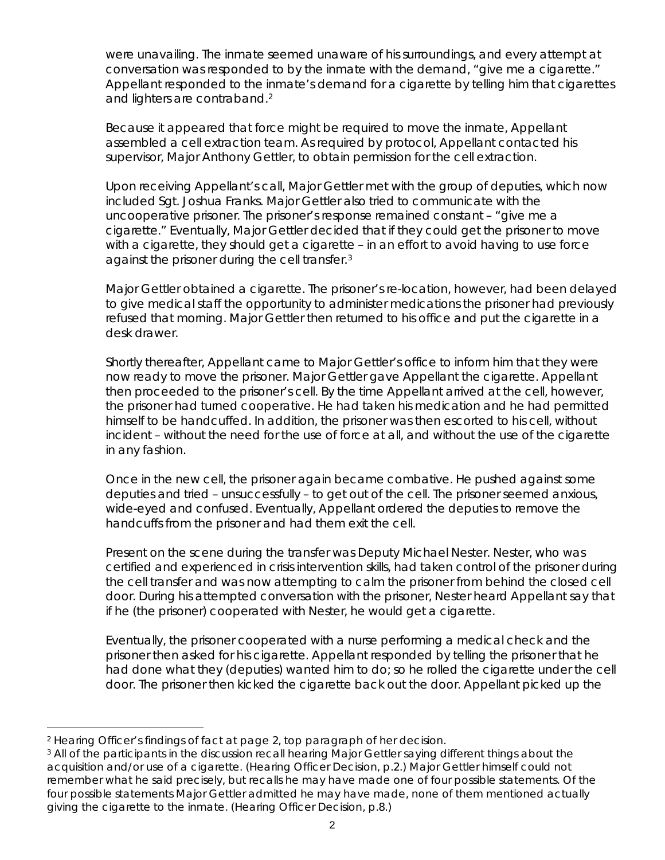were unavailing. The inmate seemed unaware of his surroundings, and every attempt at conversation was responded to by the inmate with the demand, "give me a cigarette." Appellant responded to the inmate's demand for a cigarette by telling him that cigarettes and lighters are contraband.<sup>2</sup>

Because it appeared that force might be required to move the inmate, Appellant assembled a cell extraction team. As required by protocol, Appellant contacted his supervisor, Major Anthony Gettler, to obtain permission for the cell extraction.

Upon receiving Appellant's call, Major Gettler met with the group of deputies, which now included Sgt. Joshua Franks. Major Gettler also tried to communicate with the uncooperative prisoner. The prisoner's response remained constant – "give me a cigarette." Eventually, Major Gettler decided that if they could get the prisoner to move with a cigarette, they should get a cigarette – in an effort to avoid having to use force against the prisoner during the cell transfer[.3](#page-1-1)

Major Gettler obtained a cigarette. The prisoner's re-location, however, had been delayed to give medical staff the opportunity to administer medications the prisoner had previously refused that morning. Major Gettler then returned to his office and put the cigarette in a desk drawer.

Shortly thereafter, Appellant came to Major Gettler's office to inform him that they were now ready to move the prisoner. Major Gettler gave Appellant the cigarette. Appellant then proceeded to the prisoner's cell. By the time Appellant arrived at the cell, however, the prisoner had turned cooperative. He had taken his medication and he had permitted himself to be handcuffed. In addition, the prisoner was then escorted to his cell, without incident – without the need for the use of force at all, and without the use of the cigarette in any fashion.

Once in the new cell, the prisoner again became combative. He pushed against some deputies and tried – unsuccessfully – to get out of the cell. The prisoner seemed anxious, wide-eyed and confused. Eventually, Appellant ordered the deputies to remove the handcuffs from the prisoner and had them exit the cell.

Present on the scene during the transfer was Deputy Michael Nester. Nester, who was certified and experienced in crisis intervention skills, had taken control of the prisoner during the cell transfer and was now attempting to calm the prisoner from behind the closed cell door. During his attempted conversation with the prisoner, Nester heard Appellant say that if he (the prisoner) cooperated with Nester, he would get a cigarette.

Eventually, the prisoner cooperated with a nurse performing a medical check and the prisoner then asked for his cigarette. Appellant responded by telling the prisoner that he had done what they (deputies) wanted him to do; so he rolled the cigarette under the cell door. The prisoner then kicked the cigarette back out the door. Appellant picked up the

<span id="page-1-0"></span><sup>÷,</sup> <sup>2</sup> Hearing Officer's findings of fact at page 2, top paragraph of her decision.

<span id="page-1-1"></span><sup>&</sup>lt;sup>3</sup> All of the participants in the discussion recall hearing Major Gettler saying different things about the acquisition and/or use of a cigarette. (Hearing Officer Decision, p.2.) Major Gettler himself could not remember what he said precisely, but recalls he may have made one of four possible statements. Of the four possible statements Major Gettler admitted he may have made, none of them mentioned actually giving the cigarette to the inmate. (Hearing Officer Decision, p.8.)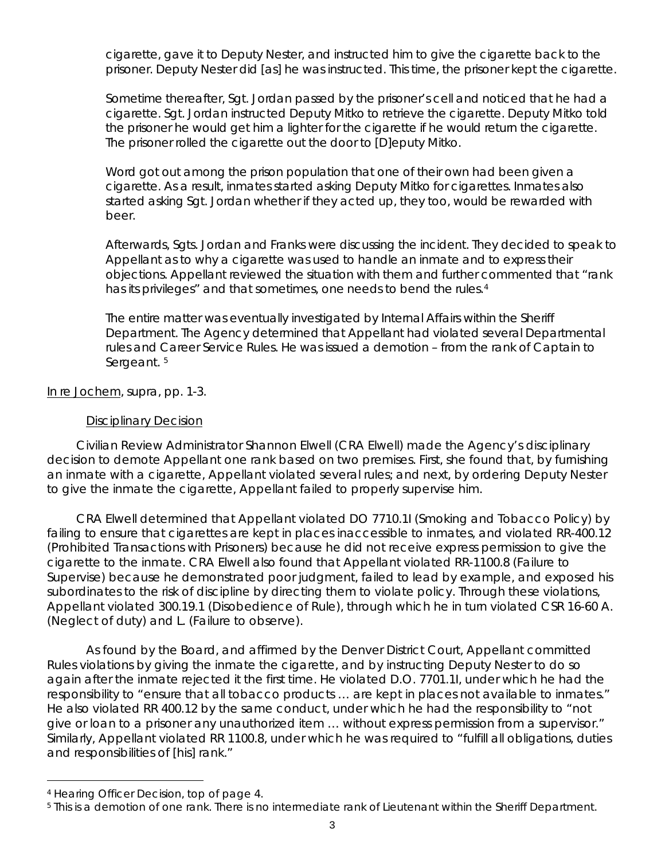cigarette, gave it to Deputy Nester, and instructed him to give the cigarette back to the prisoner. Deputy Nester did [as] he was instructed. This time, the prisoner kept the cigarette.

Sometime thereafter, Sgt. Jordan passed by the prisoner's cell and noticed that he had a cigarette. Sgt. Jordan instructed Deputy Mitko to retrieve the cigarette. Deputy Mitko told the prisoner he would get him a lighter for the cigarette if he would return the cigarette. The prisoner rolled the cigarette out the door to [D]eputy Mitko.

Word got out among the prison population that one of their own had been given a cigarette. As a result, inmates started asking Deputy Mitko for cigarettes. Inmates also started asking Sgt. Jordan whether if they acted up, they too, would be rewarded with beer.

Afterwards, Sgts. Jordan and Franks were discussing the incident. They decided to speak to Appellant as to why a cigarette was used to handle an inmate and to express their objections. Appellant reviewed the situation with them and further commented that "rank has its privileges" and that sometimes, one needs to bend the rules.<sup>[4](#page-2-0)</sup>

The entire matter was eventually investigated by Internal Affairs within the Sheriff Department. The Agency determined that Appellant had violated several Departmental rules and Career Service Rules. He was issued a demotion – from the rank of Captain to Sergeant.<sup>[5](#page-2-1)</sup>

In re Jochem, *supra*, pp. 1-3.

#### Disciplinary Decision

Civilian Review Administrator Shannon Elwell (CRA Elwell) made the Agency's disciplinary decision to demote Appellant one rank based on two premises. First, she found that, by furnishing an inmate with a cigarette, Appellant violated several rules; and next, by ordering Deputy Nester to give the inmate the cigarette, Appellant failed to properly supervise him.

CRA Elwell determined that Appellant violated DO 7710.1I (Smoking and Tobacco Policy) by failing to ensure that cigarettes are kept in places inaccessible to inmates, and violated RR-400.12 (Prohibited Transactions with Prisoners) because he did not receive express permission to give the cigarette to the inmate. CRA Elwell also found that Appellant violated RR-1100.8 (Failure to Supervise) because he demonstrated poor judgment, failed to lead by example, and exposed his subordinates to the risk of discipline by directing them to violate policy. Through these violations, Appellant violated 300.19.1 (Disobedience of Rule), through which he in turn violated CSR 16-60 A. (Neglect of duty) and L. (Failure to observe).

As found by the Board, and affirmed by the Denver District Court, Appellant committed Rules violations by giving the inmate the cigarette, and by instructing Deputy Nester to do so again after the inmate rejected it the first time. He violated D.O. 7701.1I, under which he had the responsibility to "ensure that all tobacco products … are kept in places not available to inmates." He also violated RR 400.12 by the same conduct, under which he had the responsibility to "not give or loan to a prisoner any unauthorized item … without express permission from a supervisor." Similarly, Appellant violated RR 1100.8, under which he was required to "fulfill all obligations, duties and responsibilities of [his] rank."

<span id="page-2-0"></span>i<br>I <sup>4</sup> Hearing Officer Decision, top of page 4.

<span id="page-2-1"></span><sup>&</sup>lt;sup>5</sup> This is a demotion of one rank. There is no intermediate rank of Lieutenant within the Sheriff Department.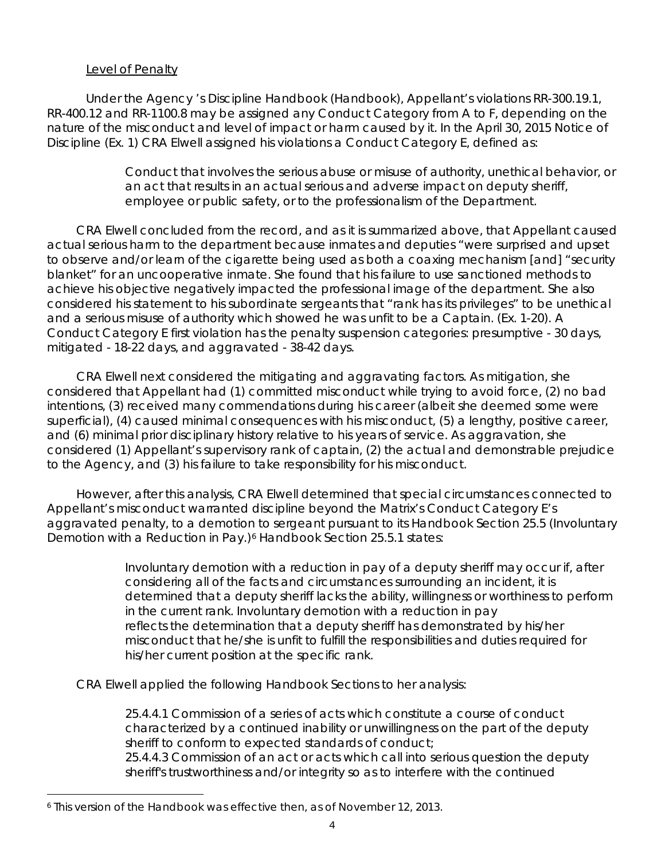### Level of Penalty

Under the Agency 's Discipline Handbook (Handbook), Appellant's violations RR-300.19.1, RR-400.12 and RR-1100.8 may be assigned any Conduct Category from A to F, depending on the nature of the misconduct and level of impact or harm caused by it. In the April 30, 2015 Notice of Discipline (Ex. 1) CRA Elwell assigned his violations a Conduct Category E, defined as:

> Conduct that involves the serious abuse or misuse of authority, unethical behavior, or an act that results in an actual serious and adverse impact on deputy sheriff, employee or public safety, or to the professionalism of the Department.

CRA Elwell concluded from the record, and as it is summarized above, that Appellant caused actual serious harm to the department because inmates and deputies "were surprised and upset to observe and/or learn of the cigarette being used as both a coaxing mechanism [and] "security blanket" for an uncooperative inmate. She found that his failure to use sanctioned methods to achieve his objective negatively impacted the professional image of the department. She also considered his statement to his subordinate sergeants that "rank has its privileges" to be unethical and a serious misuse of authority which showed he was unfit to be a Captain. (Ex. 1-20). A Conduct Category E first violation has the penalty suspension categories: presumptive - 30 days, mitigated - 18-22 days, and aggravated - 38-42 days.

CRA Elwell next considered the mitigating and aggravating factors. As mitigation, she considered that Appellant had (1) committed misconduct while trying to avoid force, (2) no bad intentions, (3) received many commendations during his career (albeit she deemed some were superficial), (4) caused minimal consequences with his misconduct, (5) a lengthy, positive career, and (6) minimal prior disciplinary history relative to his years of service. As aggravation, she considered (1) Appellant's supervisory rank of captain, (2) the actual and demonstrable prejudice to the Agency, and (3) his failure to take responsibility for his misconduct.

However, after this analysis, CRA Elwell determined that special circumstances connected to Appellant's misconduct warranted discipline beyond the Matrix's Conduct Category E's aggravated penalty, to a demotion to sergeant pursuant to its Handbook Section 25.5 (Involuntary Demotion with a Reduction in Pay.)<sup>[6](#page-3-0)</sup> Handbook Section 25.5.1 states:

> Involuntary demotion with a reduction in pay of a deputy sheriff may occur if, after considering all of the facts and circumstances surrounding an incident, it is determined that a deputy sheriff lacks the ability, willingness or worthiness to perform in the current rank. Involuntary demotion with a reduction in pay reflects the determination that a deputy sheriff has demonstrated by his/her misconduct that he/she is unfit to fulfill the responsibilities and duties required for his/her current position at the specific rank.

CRA Elwell applied the following Handbook Sections to her analysis:

25.4.4.1 Commission of a series of acts which constitute a course of conduct characterized by a continued inability or unwillingness on the part of the deputy sheriff to conform to expected standards of conduct; 25.4.4.3 Commission of an act or acts which call into serious question the deputy sheriff's trustworthiness and/or integrity so as to interfere with the continued

<span id="page-3-0"></span>i<br>I <sup>6</sup> This version of the Handbook was effective then, as of November 12, 2013.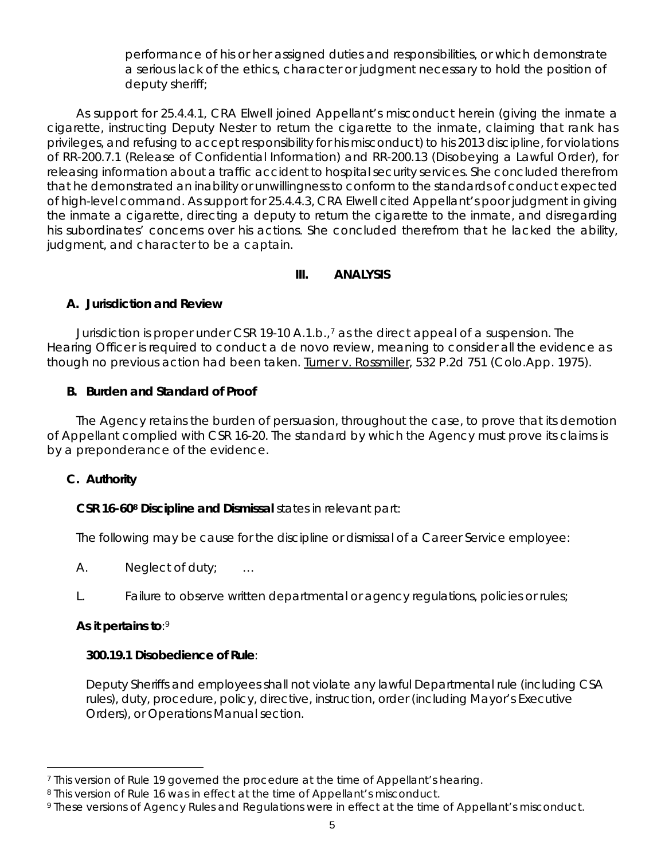performance of his or her assigned duties and responsibilities, or which demonstrate a serious lack of the ethics, character or judgment necessary to hold the position of deputy sheriff;

As support for 25.4.4.1, CRA Elwell joined Appellant's misconduct herein (giving the inmate a cigarette, instructing Deputy Nester to return the cigarette to the inmate, claiming that rank has privileges, and refusing to accept responsibility for his misconduct) to his 2013 discipline, for violations of RR-200.7.1 (Release of Confidential Information) and RR-200.13 (Disobeying a Lawful Order), for releasing information about a traffic accident to hospital security services. She concluded therefrom that he demonstrated an inability or unwillingness to conform to the standards of conduct expected of high-level command. As support for 25.4.4.3, CRA Elwell cited Appellant's poor judgment in giving the inmate a cigarette, directing a deputy to return the cigarette to the inmate, and disregarding his subordinates' concerns over his actions. She concluded therefrom that he lacked the ability, judgment, and character to be a captain.

### **III. ANALYSIS**

### **A. Jurisdiction and Review**

Jurisdiction is proper under CSR 19-10 A.1.b.,[7](#page-4-0) as the direct appeal of a suspension. The Hearing Officer is required to conduct a de novo review, meaning to consider all the evidence as though no previous action had been taken. Turner v. Rossmiller, 532 P.2d 751 (Colo.App. 1975).

# **B. Burden and Standard of Proof**

The Agency retains the burden of persuasion, throughout the case, to prove that its demotion of Appellant complied with CSR 16-20. The standard by which the Agency must prove its claims is by a preponderance of the evidence.

### **C. Authority**

### **CSR 16-6[08](#page-4-1) Discipline and Dismissal** states in relevant part:

The following may be cause for the discipline or dismissal of a Career Service employee:

A. Neglect of duty; …

L. Failure to observe written departmental or agency regulations, policies or rules;

# **As it pertains to**:[9](#page-4-2)

### **300.19.1 Disobedience of Rule**:

Deputy Sheriffs and employees shall not violate any lawful Departmental rule (including CSA rules), duty, procedure, policy, directive, instruction, order (including Mayor's Executive Orders), or Operations Manual section.

<span id="page-4-0"></span><sup>÷,</sup> <sup>7</sup> This version of Rule 19 governed the procedure at the time of Appellant's hearing.

<span id="page-4-1"></span><sup>8</sup> This version of Rule 16 was in effect at the time of Appellant's misconduct.

<span id="page-4-2"></span><sup>9</sup> These versions of Agency Rules and Regulations were in effect at the time of Appellant's misconduct.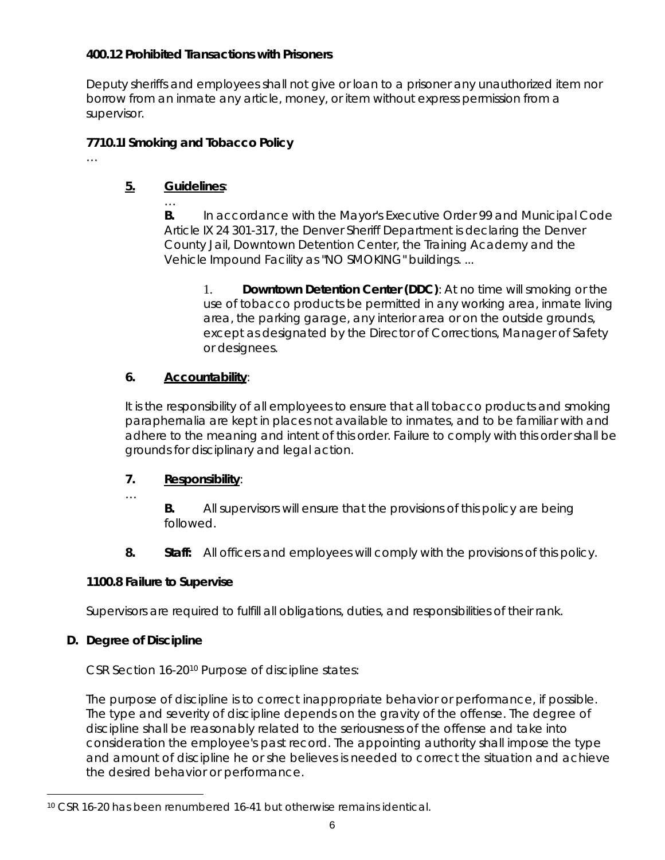### **400.12 Prohibited Transactions with Prisoners**

Deputy sheriffs and employees shall not give or loan to a prisoner any unauthorized item nor borrow from an inmate any article, money, or item without express permission from a supervisor.

# **7710.1I Smoking and Tobacco Policy**

#### **5. Guidelines**: …

…

**B.** In accordance with the *Mayor's Executive Order 99* and *Municipal Code Article IX 24 301-317*, the Denver Sheriff Department is declaring the Denver County Jail, Downtown Detention Center, the Training Academy and the Vehicle Impound Facility as "NO SMOKING" buildings. ...

1. **Downtown Detention Center (DDC)**: At no time will smoking or the use of tobacco products be permitted in any working area, inmate living area, the parking garage, any interior area or on the outside grounds, except as designated by the Director of Corrections, Manager of Safety or designees.

# **6. Accountability**:

It is the responsibility of all employees to ensure that all tobacco products and smoking paraphernalia are kept in places not available to inmates, and to be familiar with and adhere to the meaning and intent of this order. Failure to comply with this order shall be grounds for disciplinary and legal action.

# **7. Responsibility**:

- …
- **B.** All supervisors will ensure that the provisions of this policy are being followed.
- **8. Staff:** All officers and employees will comply with the provisions of this policy.

# **1100.8 Failure to Supervise**

Supervisors are required to fulfill all obligations, duties, and responsibilities of their rank.

# **D. Degree of Discipline**

CSR Section 16-2[010](#page-5-0) Purpose of discipline states:

The purpose of discipline is to correct inappropriate behavior or performance, if possible. The type and severity of discipline depends on the gravity of the offense. The degree of discipline shall be reasonably related to the seriousness of the offense and take into consideration the employee's past record. The appointing authority shall impose the type and amount of discipline he or she believes is needed to correct the situation and achieve the desired behavior or performance.

<span id="page-5-0"></span>i<br>I <sup>10</sup> CSR 16-20 has been renumbered 16-41 but otherwise remains identical.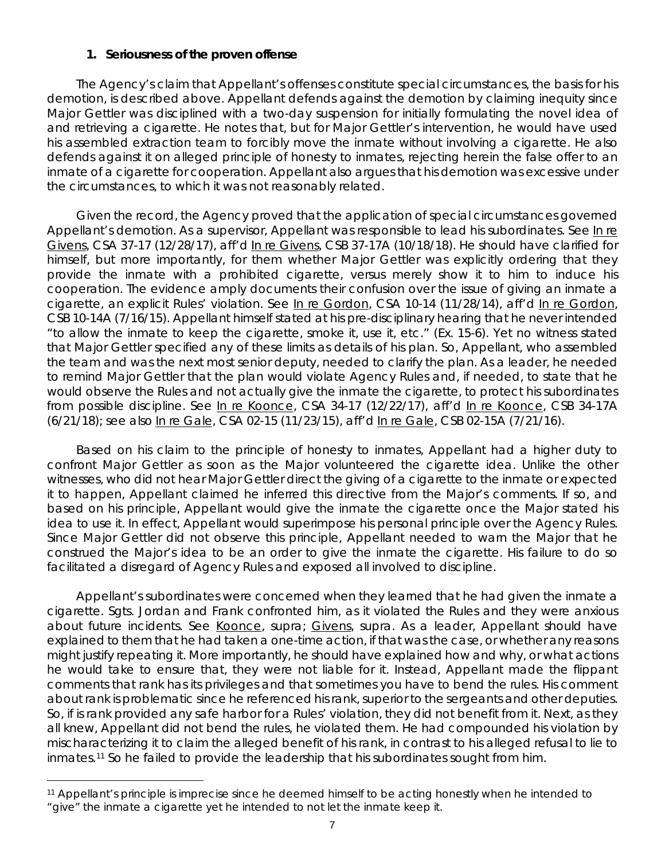#### **1. Seriousness of the proven offense**

The Agency's claim that Appellant's offenses constitute special circumstances, the basis for his demotion, is described above. Appellant defends against the demotion by claiming inequity since Major Gettler was disciplined with a two-day suspension for initially formulating the novel idea of and retrieving a cigarette. He notes that, but for Major Gettler's intervention, he would have used his assembled extraction team to forcibly move the inmate without involving a cigarette. He also defends against it on alleged principle of honesty to inmates, rejecting herein the false offer to an inmate of a cigarette for cooperation. Appellant also argues that his demotion was excessive under the circumstances, to which it was not reasonably related.

Given the record, the Agency proved that the application of special circumstances governed Appellant's demotion. As a supervisor, Appellant was responsible to lead his subordinates. See In re Givens, CSA 37-17 (12/28/17), *aff'd* In re Givens, CSB 37-17A (10/18/18). He should have clarified for himself, but more importantly, for them whether Major Gettler was explicitly ordering that they provide the inmate with a prohibited cigarette, versus merely show it to him to induce his cooperation. The evidence amply documents their confusion over the issue of giving an inmate a cigarette, an explicit Rules' violation. *See* In re Gordon, CSA 10-14 (11/28/14), *aff'd* In re Gordon, CSB 10-14A (7/16/15). Appellant himself stated at his pre-disciplinary hearing that he never intended "to allow the inmate to keep the cigarette, smoke it, use it, etc." (Ex. 15-6). Yet no witness stated that Major Gettler specified any of these limits as details of his plan. So, Appellant, who assembled the team and was the next most senior deputy, needed to clarify the plan. As a leader, he needed to remind Major Gettler that the plan would violate Agency Rules and, if needed, to state that he would observe the Rules and not actually give the inmate the cigarette, to protect his subordinates from possible discipline. *See* In re Koonce, CSA 34-17 (12/22/17), *aff'd* In re Koonce, CSB 34-17A (6/21/18); *see also* In re Gale, CSA 02-15 (11/23/15), *aff'd* In re Gale, CSB 02-15A (7/21/16).

Based on his claim to the principle of honesty to inmates, Appellant had a higher duty to confront Major Gettler as soon as the Major volunteered the cigarette idea. Unlike the other witnesses, who did not hear Major Gettler direct the giving of a cigarette to the inmate or expected it to happen, Appellant claimed he inferred this directive from the Major's comments. If so, and based on his principle, Appellant would give the inmate the cigarette once the Major stated his idea to use it. In effect, Appellant would superimpose his personal principle over the Agency Rules. Since Major Gettler did not observe this principle, Appellant needed to warn the Major that he construed the Major's idea to be an order to give the inmate the cigarette. His failure to do so facilitated a disregard of Agency Rules and exposed all involved to discipline.

Appellant's subordinates were concerned when they learned that he had given the inmate a cigarette. Sgts. Jordan and Frank confronted him, as it violated the Rules and they were anxious about future incidents. *See* Koonce, *supra*; Givens, *supra*. As a leader, Appellant should have explained to them that he had taken a one-time action, if that was the case, or whether any reasons might justify repeating it. More importantly, he should have explained how and why, or what actions he would take to ensure that, they were not liable for it. Instead, Appellant made the flippant comments that rank has its privileges and that sometimes you have to bend the rules. His comment about rank is problematic since he referenced his rank, superior to the sergeants and other deputies. So, if is rank provided any safe harbor for a Rules' violation, they did not benefit from it. Next, as they all knew, Appellant did not bend the rules, he violated them. He had compounded his violation by mischaracterizing it to claim the alleged benefit of his rank, in contrast to his alleged refusal to lie to inmates.[11](#page-6-0) So he failed to provide the leadership that his subordinates sought from him.

<span id="page-6-0"></span>i<br>I <sup>11</sup> Appellant's principle is imprecise since he deemed himself to be acting honestly when he intended to "give" the inmate a cigarette yet he intended to not let the inmate keep it.